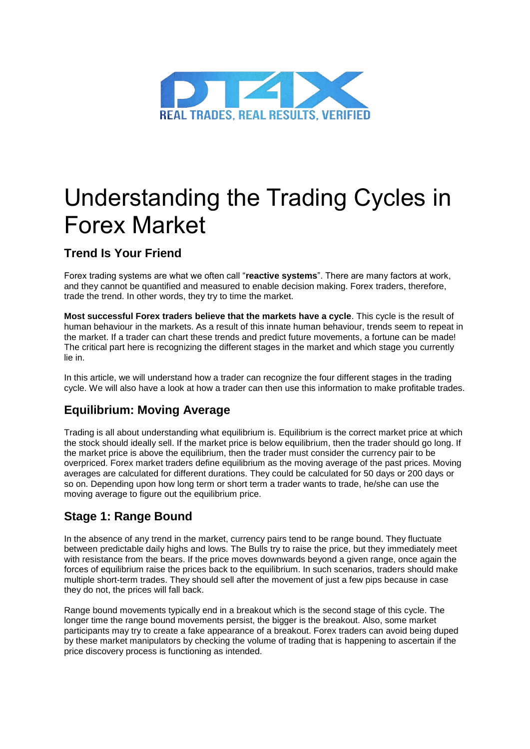

# Understanding the Trading Cycles in Forex Market

# **Trend Is Your Friend**

Forex trading systems are what we often call "**reactive systems**". There are many factors at work, and they cannot be quantified and measured to enable decision making. Forex traders, therefore, trade the trend. In other words, they try to time the market.

**Most successful Forex traders believe that the markets have a cycle**. This cycle is the result of human behaviour in the markets. As a result of this innate human behaviour, trends seem to repeat in the market. If a trader can chart these trends and predict future movements, a fortune can be made! The critical part here is recognizing the different stages in the market and which stage you currently lie in.

In this article, we will understand how a trader can recognize the four different stages in the trading cycle. We will also have a look at how a trader can then use this information to make profitable trades.

# **Equilibrium: Moving Average**

Trading is all about understanding what equilibrium is. Equilibrium is the correct market price at which the stock should ideally sell. If the market price is below equilibrium, then the trader should go long. If the market price is above the equilibrium, then the trader must consider the currency pair to be overpriced. Forex market traders define equilibrium as the moving average of the past prices. Moving averages are calculated for different durations. They could be calculated for 50 days or 200 days or so on. Depending upon how long term or short term a trader wants to trade, he/she can use the moving average to figure out the equilibrium price.

# **Stage 1: Range Bound**

In the absence of any trend in the market, currency pairs tend to be range bound. They fluctuate between predictable daily highs and lows. The Bulls try to raise the price, but they immediately meet with resistance from the bears. If the price moves downwards beyond a given range, once again the forces of equilibrium raise the prices back to the equilibrium. In such scenarios, traders should make multiple short-term trades. They should sell after the movement of just a few pips because in case they do not, the prices will fall back.

Range bound movements typically end in a breakout which is the second stage of this cycle. The longer time the range bound movements persist, the bigger is the breakout. Also, some market participants may try to create a fake appearance of a breakout. Forex traders can avoid being duped by these market manipulators by checking the volume of trading that is happening to ascertain if the price discovery process is functioning as intended.